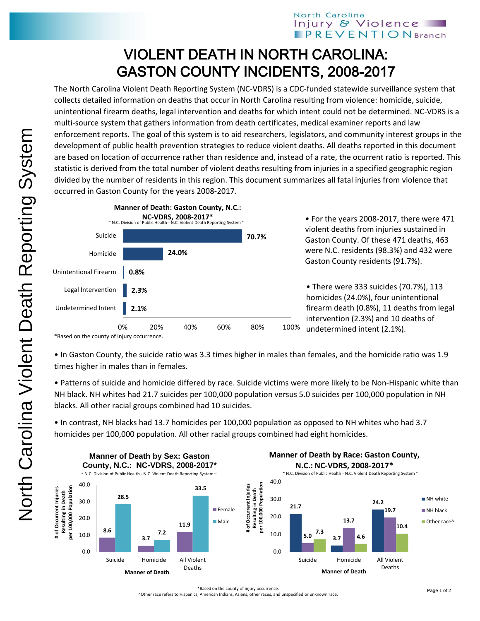## North Carolina Injury & Violence **PREVENTIONBranch**

## VIOLENT DEATH IN NORTH CAROLINA: GASTON COUNTY INCIDENTS, 2008-2017

The North Carolina Violent Death Reporting System (NC-VDRS) is a CDC-funded statewide surveillance system that collects detailed information on deaths that occur in North Carolina resulting from violence: homicide, suicide, unintentional firearm deaths, legal intervention and deaths for which intent could not be determined. NC-VDRS is a multi-source system that gathers information from death certificates, medical examiner reports and law enforcement reports. The goal of this system is to aid researchers, legislators, and community interest groups in the development of public health prevention strategies to reduce violent deaths. All deaths reported in this document are based on location of occurrence rather than residence and, instead of a rate, the ocurrent ratio is reported. This statistic is derived from the total number of violent deaths resulting from injuries in a specified geographic region divided by the number of residents in this region. This document summarizes all fatal injuries from violence that occurred in Gaston County for the years 2008-2017.



• For the years 2008-2017, there were 471 violent deaths from injuries sustained in Gaston County. Of these 471 deaths, 463 were N.C. residents (98.3%) and 432 were Gaston County residents (91.7%).

• There were 333 suicides (70.7%), 113 homicides (24.0%), four unintentional firearm death (0.8%), 11 deaths from legal intervention (2.3%) and 10 deaths of undetermined intent (2.1%).

\*Based on the county of injury occurrence.

• In Gaston County, the suicide ratio was 3.3 times higher in males than females, and the homicide ratio was 1.9 times higher in males than in females.

• Patterns of suicide and homicide differed by race. Suicide victims were more likely to be Non-Hispanic white than NH black. NH whites had 21.7 suicides per 100,000 population versus 5.0 suicides per 100,000 population in NH blacks. All other racial groups combined had 10 suicides.

• In contrast, NH blacks had 13.7 homicides per 100,000 population as opposed to NH whites who had 3.7 homicides per 100,000 population. All other racial groups combined had eight homicides.



^Other race refers to Hispanics, American Indians, Asians, other races, and unspecified or unknown race.